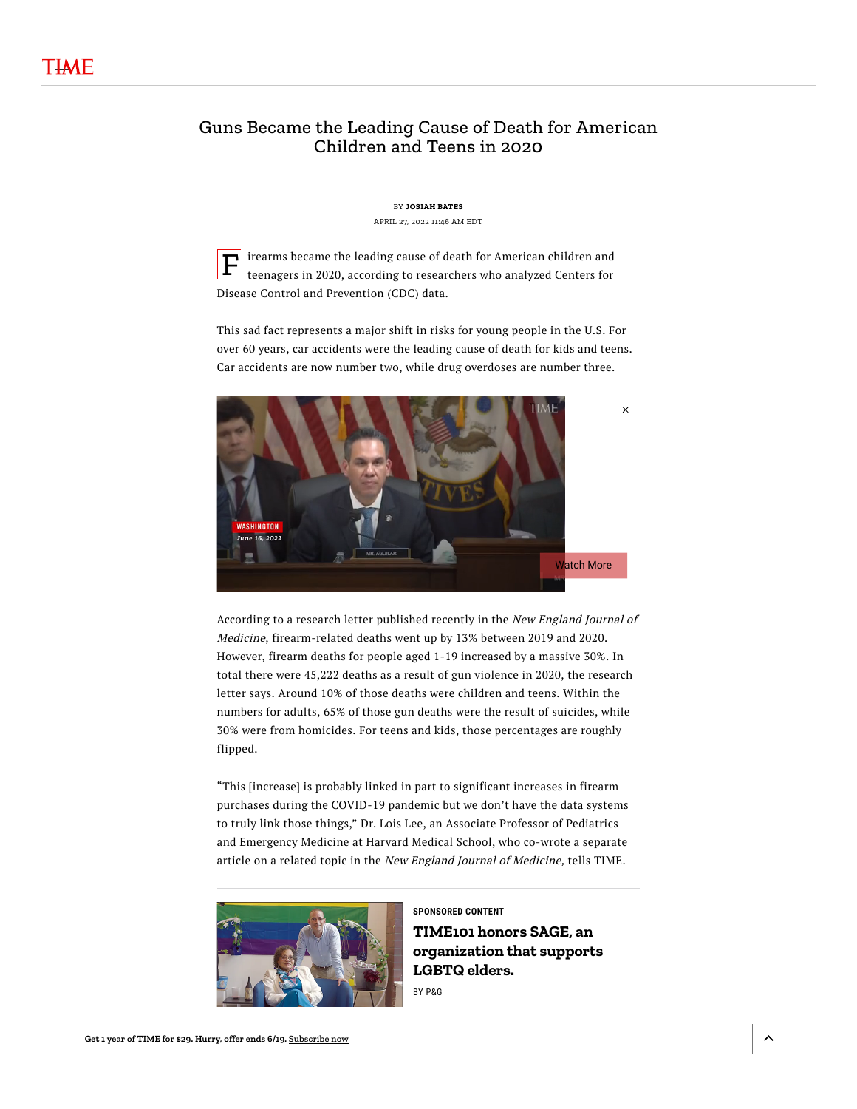## Guns Became the Leading Cause of Death for American Children and Teens in 2020

BY **[JOSIAH](https://time.com/author/josiah-bates/) BATES** APRIL 27, 2022 11:46 AM EDT

 $\mathbf{F}$  irearms became the leading cause of death for American children and teenagers in 2020, according to researchers who analyzed Centers for teenagers in 2020, according to researchers who analyzed Centers for Disease Control and Prevention (CDC) data.

This sad fact represents a major shift in risks for young people in the U.S. For over 60 years, car accidents were the leading cause of death for kids and teens. Car accidents are now number two, while drug overdoses are number three.



According to a [research](https://www.nejm.org/doi/full/10.1056/NEJMc2201761) letter published recently in the New England Journal of Medicine, firearm-related deaths went up by 13% between 2019 and 2020. However, firearm deaths for people aged 1-19 increased by a massive 30%. In total there were 45,222 deaths as a result of gun [violence](https://time.com/5922082/2020-gun-violence-homicides-record-year/) in 2020, the research letter says. Around 10% of those deaths were children and teens. Within the numbers for adults, 65% of those gun deaths were the result of suicides, while 30% were from homicides. For teens and kids, those percentages are roughly flipped.

"This [increase] is probably linked in part to significant increases in firearm purchases during the COVID-19 pandemic but we don't have the data systems to truly link those things," Dr. Lois Lee, an Associate Professor of Pediatrics and [Emergency](https://www.nejm.org/doi/full/10.1056/NEJMp2200169) Medicine at Harvard Medical School, who co-wrote a separate article on a related topic in the New England Journal of Medicine, tells TIME.



**SPONSORED CONTENT TIME101 honors SAGE, an [organization](https://partners.time.com/partners/p-g/time-celebrates-sage-our-time101-nominee-for-2022./?prx_t=LKEHAWaxVA7icRA&utm_campaign=181152&ntv_ht=Hv-tYgA&ntv_fr) that supports LGBTQ elders.**

BY [P&G](https://partners.time.com/partners/p-g/time-celebrates-sage-our-time101-nominee-for-2022./?prx_t=LKEHAWaxVA7icRA&utm_campaign=181152&ntv_ht=Hv-tYgA&ntv_fr)